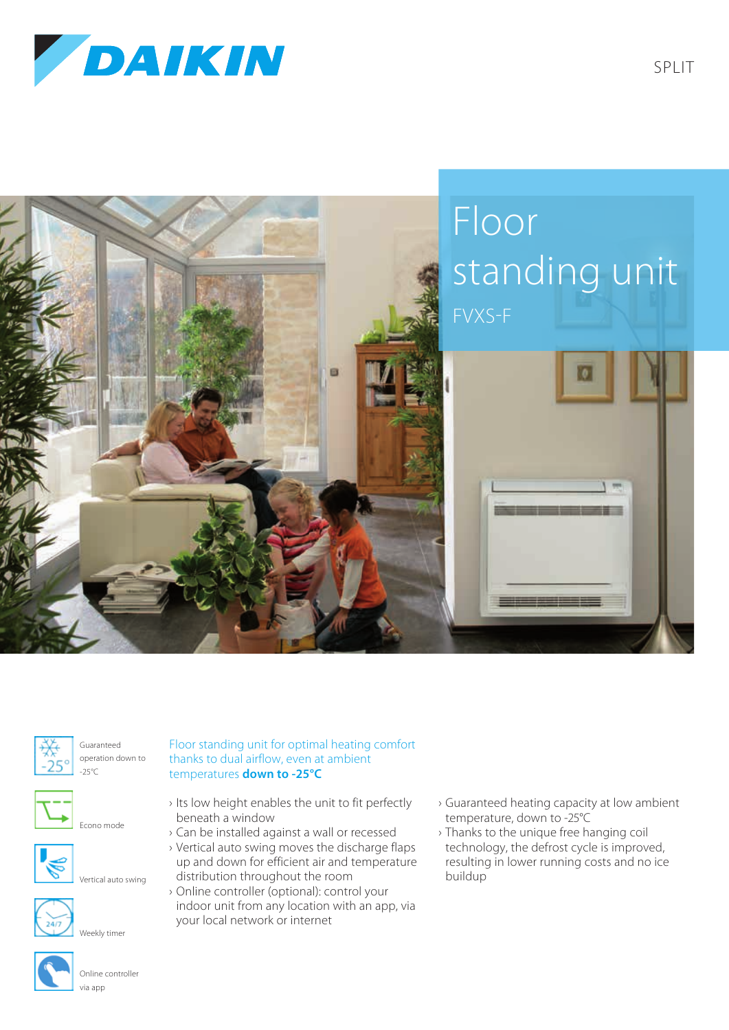





Guaranteed operation down to -25°C



Econo mode







Weekly timer



Online controller via app

Floor standing unit for optimal heating comfort thanks to dual airflow, even at ambient temperatures **down to -25°C**

- › Its low height enables the unit to fit perfectly beneath a window
- › Can be installed against a wall or recessed
- › Vertical auto swing moves the discharge flaps up and down for efficient air and temperature distribution throughout the room
- › Online controller (optional): control your indoor unit from any location with an app, via your local network or internet
- › Guaranteed heating capacity at low ambient temperature, down to -25°C
- › Thanks to the unique free hanging coil technology, the defrost cycle is improved, resulting in lower running costs and no ice buildup